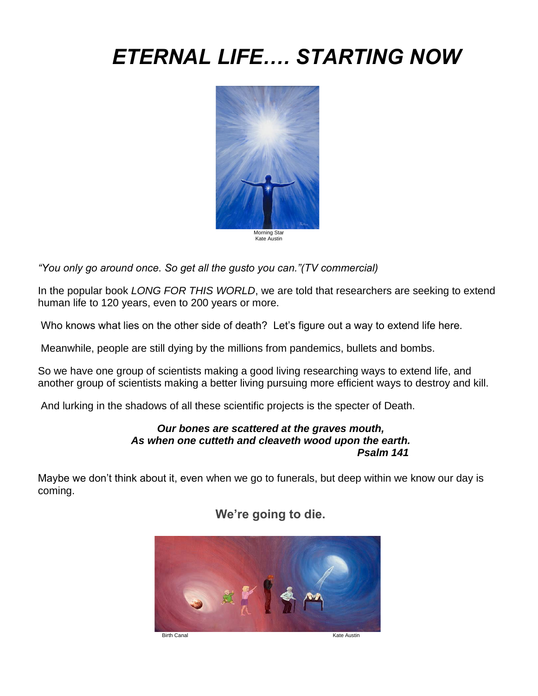# *ETERNAL LIFE…. STARTING NOW*



Kate Austin

*"You only go around once. So get all the gusto you can."(TV commercial)*

In the popular book *LONG FOR THIS WORLD*, we are told that researchers are seeking to extend human life to 120 years, even to 200 years or more.

Who knows what lies on the other side of death? Let's figure out a way to extend life here.

Meanwhile, people are still dying by the millions from pandemics, bullets and bombs.

So we have one group of scientists making a good living researching ways to extend life, and another group of scientists making a better living pursuing more efficient ways to destroy and kill.

And lurking in the shadows of all these scientific projects is the specter of Death.

#### *Our bones are scattered at the graves mouth, As when one cutteth and cleaveth wood upon the earth. Psalm 141*

Maybe we don't think about it, even when we go to funerals, but deep within we know our day is coming.



**We're going to die.**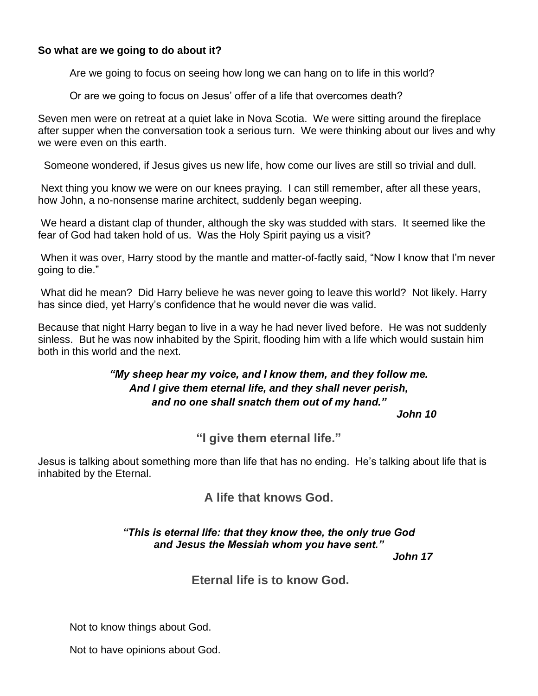#### **So what are we going to do about it?**

Are we going to focus on seeing how long we can hang on to life in this world?

Or are we going to focus on Jesus' offer of a life that overcomes death?

Seven men were on retreat at a quiet lake in Nova Scotia. We were sitting around the fireplace after supper when the conversation took a serious turn. We were thinking about our lives and why we were even on this earth.

Someone wondered, if Jesus gives us new life, how come our lives are still so trivial and dull.

Next thing you know we were on our knees praying. I can still remember, after all these years, how John, a no-nonsense marine architect, suddenly began weeping.

We heard a distant clap of thunder, although the sky was studded with stars. It seemed like the fear of God had taken hold of us. Was the Holy Spirit paying us a visit?

When it was over, Harry stood by the mantle and matter-of-factly said, "Now I know that I'm never going to die."

What did he mean? Did Harry believe he was never going to leave this world? Not likely. Harry has since died, yet Harry's confidence that he would never die was valid.

Because that night Harry began to live in a way he had never lived before. He was not suddenly sinless. But he was now inhabited by the Spirit, flooding him with a life which would sustain him both in this world and the next.

## *"My sheep hear my voice, and I know them, and they follow me. And I give them eternal life, and they shall never perish, and no one shall snatch them out of my hand."*

*John 10*

**"I give them eternal life."** 

Jesus is talking about something more than life that has no ending. He's talking about life that is inhabited by the Eternal.

**A life that knows God.**

#### *"This is eternal life: that they know thee, the only true God and Jesus the Messiah whom you have sent."*

*John 17*

### **Eternal life is to know God.**

Not to know things about God.

Not to have opinions about God.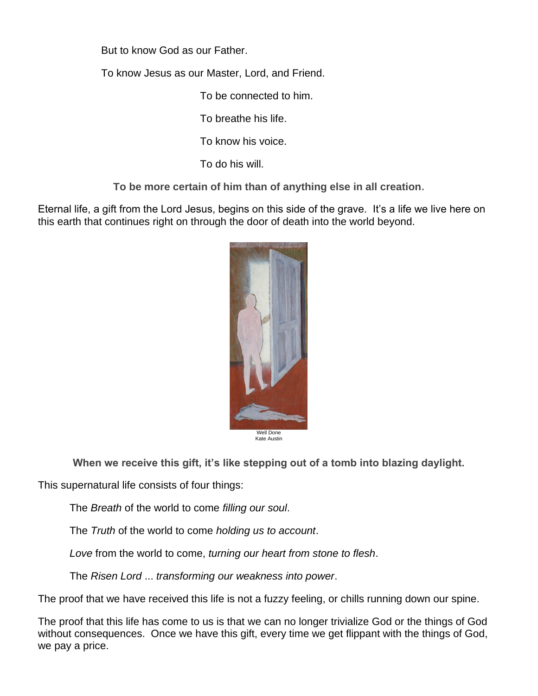But to know God as our Father.

To know Jesus as our Master, Lord, and Friend.

To be connected to him.

To breathe his life.

To know his voice.

To do his will.

**To be more certain of him than of anything else in all creation.** 

Eternal life, a gift from the Lord Jesus, begins on this side of the grave. It's a life we live here on this earth that continues right on through the door of death into the world beyond.



**When we receive this gift, it's like stepping out of a tomb into blazing daylight.** 

This supernatural life consists of four things:

The *Breath* of the world to come *filling our soul*.

The *Truth* of the world to come *holding us to account*.

*Love* from the world to come, *turning our heart from stone to flesh*.

The *Risen Lord* ... *transforming our weakness into power*.

The proof that we have received this life is not a fuzzy feeling, or chills running down our spine.

The proof that this life has come to us is that we can no longer trivialize God or the things of God without consequences. Once we have this gift, every time we get flippant with the things of God, we pay a price.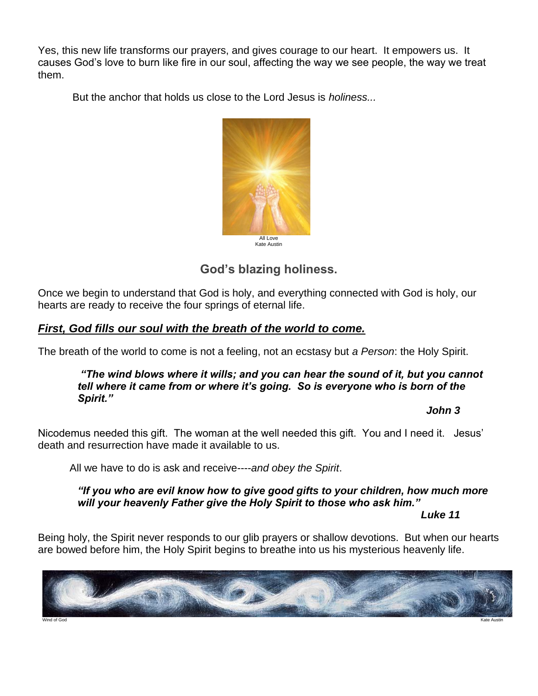Yes, this new life transforms our prayers, and gives courage to our heart. It empowers us. It causes God's love to burn like fire in our soul, affecting the way we see people, the way we treat them.

But the anchor that holds us close to the Lord Jesus is *holiness...*



## **God's blazing holiness.**

Once we begin to understand that God is holy, and everything connected with God is holy, our hearts are ready to receive the four springs of eternal life.

## *First, God fills our soul with the breath of the world to come.*

The breath of the world to come is not a feeling, not an ecstasy but *a Person*: the Holy Spirit.

#### *"The wind blows where it wills; and you can hear the sound of it, but you cannot tell where it came from or where it's going. So is everyone who is born of the Spirit."*

#### *John 3*

Nicodemus needed this gift. The woman at the well needed this gift. You and I need it. Jesus' death and resurrection have made it available to us.

All we have to do is ask and receive----*and obey the Spirit*.

*"If you who are evil know how to give good gifts to your children, how much more will your heavenly Father give the Holy Spirit to those who ask him."*

*Luke 11*

Being holy, the Spirit never responds to our glib prayers or shallow devotions. But when our hearts are bowed before him, the Holy Spirit begins to breathe into us his mysterious heavenly life.

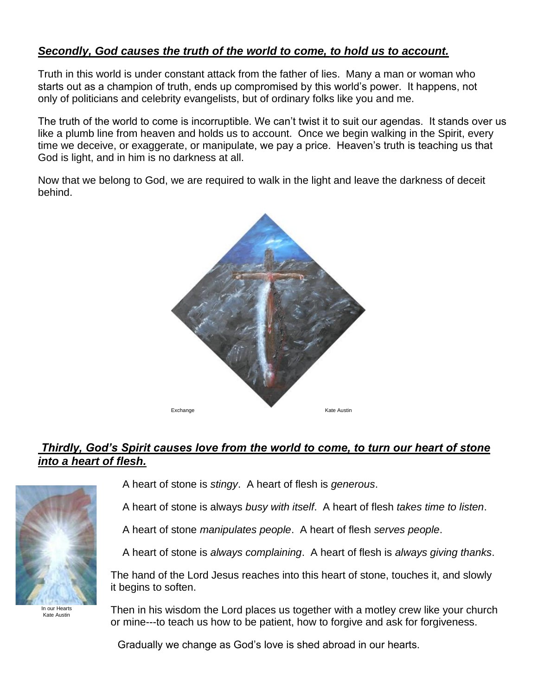## *Secondly, God causes the truth of the world to come, to hold us to account.*

Truth in this world is under constant attack from the father of lies. Many a man or woman who starts out as a champion of truth, ends up compromised by this world's power. It happens, not only of politicians and celebrity evangelists, but of ordinary folks like you and me.

The truth of the world to come is incorruptible. We can't twist it to suit our agendas. It stands over us like a plumb line from heaven and holds us to account. Once we begin walking in the Spirit, every time we deceive, or exaggerate, or manipulate, we pay a price. Heaven's truth is teaching us that God is light, and in him is no darkness at all.

Now that we belong to God, we are required to walk in the light and leave the darkness of deceit behind.



## *Thirdly, God's Spirit causes love from the world to come, to turn our heart of stone into a heart of flesh.*



In our Hearts Kate Austin

A heart of stone is *stingy*. A heart of flesh is *generous*.

A heart of stone is always *busy with itself*. A heart of flesh *takes time to listen*.

A heart of stone *manipulates people*. A heart of flesh *serves people*.

A heart of stone is *always complaining*. A heart of flesh is *always giving thanks*.

The hand of the Lord Jesus reaches into this heart of stone, touches it, and slowly it begins to soften.

Then in his wisdom the Lord places us together with a motley crew like your church or mine---to teach us how to be patient, how to forgive and ask for forgiveness.

Gradually we change as God's love is shed abroad in our hearts.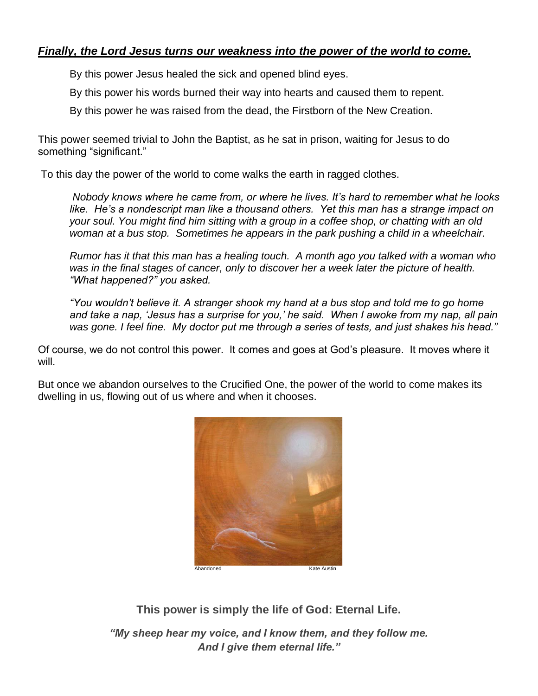## *Finally, the Lord Jesus turns our weakness into the power of the world to come.*

By this power Jesus healed the sick and opened blind eyes.

By this power his words burned their way into hearts and caused them to repent.

By this power he was raised from the dead, the Firstborn of the New Creation.

This power seemed trivial to John the Baptist, as he sat in prison, waiting for Jesus to do something "significant."

To this day the power of the world to come walks the earth in ragged clothes.

*Nobody knows where he came from, or where he lives. It's hard to remember what he looks like. He's a nondescript man like a thousand others. Yet this man has a strange impact on your soul. You might find him sitting with a group in a coffee shop, or chatting with an old woman at a bus stop. Sometimes he appears in the park pushing a child in a wheelchair.* 

*Rumor has it that this man has a healing touch. A month ago you talked with a woman who was in the final stages of cancer, only to discover her a week later the picture of health. "What happened?" you asked.* 

*"You wouldn't believe it. A stranger shook my hand at a bus stop and told me to go home and take a nap, 'Jesus has a surprise for you,' he said. When I awoke from my nap, all pain was gone. I feel fine. My doctor put me through a series of tests, and just shakes his head."* 

Of course, we do not control this power. It comes and goes at God's pleasure. It moves where it will.

But once we abandon ourselves to the Crucified One, the power of the world to come makes its dwelling in us, flowing out of us where and when it chooses.



**This power is simply the life of God: Eternal Life.**

*"My sheep hear my voice, and I know them, and they follow me. And I give them eternal life."*